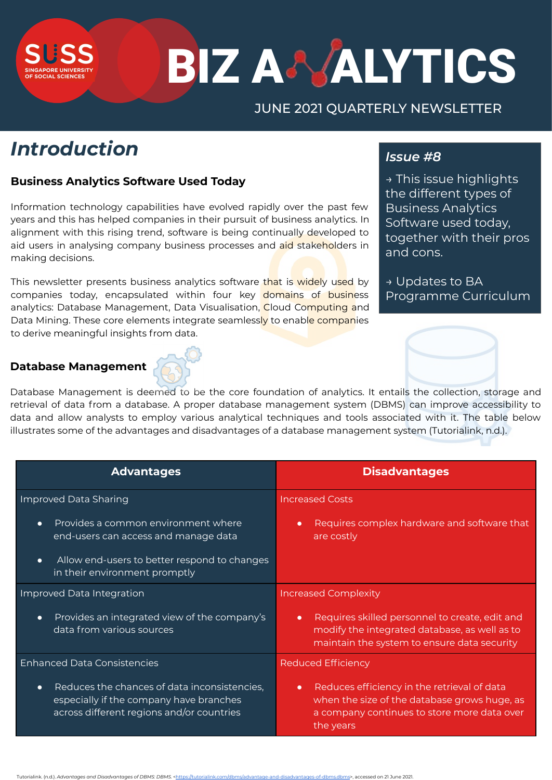# **BIZ A& ALYTICS**

# JUNE 2021 QUARTERLY NEWSLETTER

# *Introduction*

**SLISS** 

## **Business Analytics Software Used Today**

Information technology capabilities have evolved rapidly over the past few years and this has helped companies in their pursuit of business analytics. In alignment with this rising trend, software is being continually developed to aid users in analysing company business processes and aid stakeholders in making decisions.

This newsletter presents business analytics software that is widely used by companies today, encapsulated within four key domains of business analytics: Database Management, Data Visualisation, Cloud Computing and Data Mining. These core elements integrate seamlessly to enable companies to derive meaningful insights from data.

### **Database Management**



| <b>Advantages</b>                                                                                                                                 | <b>Disadvantages</b>                                                                                                                                                 |
|---------------------------------------------------------------------------------------------------------------------------------------------------|----------------------------------------------------------------------------------------------------------------------------------------------------------------------|
| Improved Data Sharing                                                                                                                             | <b>Increased Costs</b>                                                                                                                                               |
| Provides a common environment where<br>$\bullet$<br>end-users can access and manage data                                                          | Requires complex hardware and software that<br>$\bullet$<br>are costly                                                                                               |
| Allow end-users to better respond to changes<br>$\bullet$<br>in their environment promptly                                                        |                                                                                                                                                                      |
| Improved Data Integration                                                                                                                         | <b>Increased Complexity</b>                                                                                                                                          |
| Provides an integrated view of the company's<br>$\bullet$<br>data from various sources                                                            | Requires skilled personnel to create, edit and<br>$\bullet$<br>modify the integrated database, as well as to<br>maintain the system to ensure data security          |
| <b>Enhanced Data Consistencies</b>                                                                                                                | <b>Reduced Efficiency</b>                                                                                                                                            |
| Reduces the chances of data inconsistencies,<br>$\bullet$<br>especially if the company have branches<br>across different regions and/or countries | Reduces efficiency in the retrieval of data<br>$\bullet$<br>when the size of the database grows huge, as<br>a company continues to store more data over<br>the years |

#### rialink. (n.d.). *Advantages and Disadvantages of DBMS: DBMS.*



# *Issue #8*

→ This issue highlights the different types of Business Analytics Software used today, together with their pros and cons.

Programme Curriculum

→ Updates to BA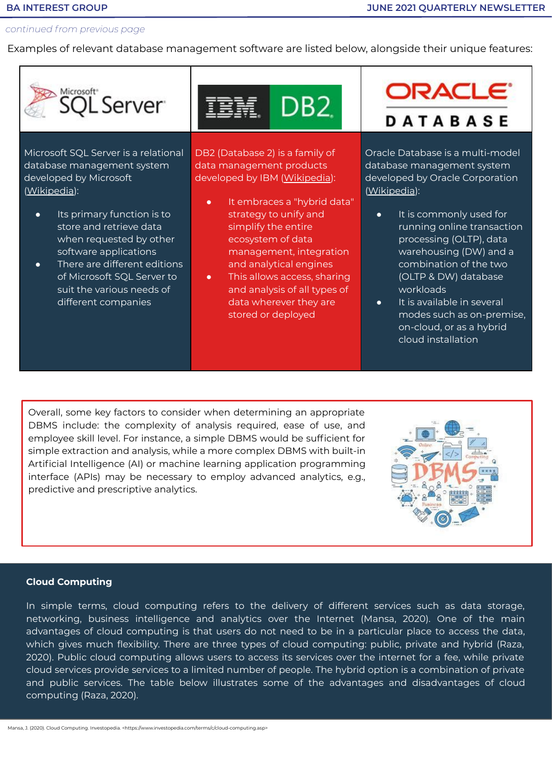#### *continued from previous page*

suit the various needs of different companies

Examples of relevant database management software are listed below, alongside their unique features:



This allows access, sharing and analysis of all types of data wherever they are stored or deployed

Oracle Database is a multi-model developed by Oracle Corporation

- running online transaction warehousing (DW) and a (OLTP & DW) database workloads
- It is available in several modes such as on-premise, on-cloud, or as a hybrid cloud installation

Overall, some key factors to consider when determining an appropriate DBMS include: the complexity of analysis required, ease of use, and employee skill level. For instance, a simple DBMS would be sufficient for simple extraction and analysis, while a more complex DBMS with built-in Artificial Intelligence (AI) or machine learning application programming interface (APIs) may be necessary to employ advanced analytics, e.g., predictive and prescriptive analytics.



#### **Cloud Computing**

In simple terms, cloud computing refers to the delivery of different services such as data storage, networking, business intelligence and analytics over the Internet (Mansa, 2020). One of the main advantages of cloud computing is that users do not need to be in a particular place to access the data, which gives much flexibility. There are three types of cloud computing: public, private and hybrid (Raza, 2020). Public cloud computing allows users to access its services over the internet for a fee, while private cloud services provide services to a limited number of people. The hybrid option is a combination of private and public services. The table below illustrates some of the advantages and disadvantages of cloud computing (Raza, 2020).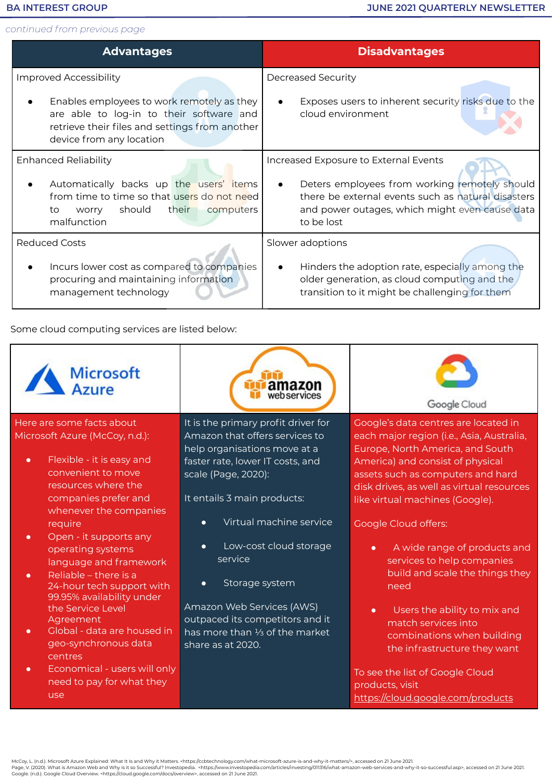#### **BA INTEREST GROUP**

*continued from previous page*

| <b>Advantages</b>                                                                                                                                                    | <b>Disadvantages</b>                                                                                                                                                             |
|----------------------------------------------------------------------------------------------------------------------------------------------------------------------|----------------------------------------------------------------------------------------------------------------------------------------------------------------------------------|
| <b>Improved Accessibility</b>                                                                                                                                        | Decreased Security                                                                                                                                                               |
| Enables employees to work remotely as they<br>are able to log-in to their software and<br>retrieve their files and settings from another<br>device from any location | Exposes users to inherent security risks due to the<br>cloud environment                                                                                                         |
| <b>Enhanced Reliability</b>                                                                                                                                          | Increased Exposure to External Events                                                                                                                                            |
| Automatically backs up the users' items<br>from time to time so that users do not need<br>should<br>their computers<br>to<br>worry<br>malfunction                    | Deters employees from working remotely should<br>$\bullet$<br>there be external events such as natural disasters<br>and power outages, which might even cause data<br>to be lost |
| <b>Reduced Costs</b>                                                                                                                                                 | Slower adoptions                                                                                                                                                                 |
| Incurs lower cost as compared to companies<br>procuring and maintaining information<br>management technology                                                         | Hinders the adoption rate, especially among the<br>older generation, as cloud computing and the<br>transition to it might be challenging for them                                |

Some cloud computing services are listed below:

| <b>Microsoft</b><br>A Azure                                                                                                                                                                                                                                                                                                                                                                                                                                                                                                        | amazon<br>webservices                                                                                                                                                                                                                                                                                                                                                   | Google Cloud                                                                                                                                                                                                                                                                                                                                                                                                                                                                                                                                                                |
|------------------------------------------------------------------------------------------------------------------------------------------------------------------------------------------------------------------------------------------------------------------------------------------------------------------------------------------------------------------------------------------------------------------------------------------------------------------------------------------------------------------------------------|-------------------------------------------------------------------------------------------------------------------------------------------------------------------------------------------------------------------------------------------------------------------------------------------------------------------------------------------------------------------------|-----------------------------------------------------------------------------------------------------------------------------------------------------------------------------------------------------------------------------------------------------------------------------------------------------------------------------------------------------------------------------------------------------------------------------------------------------------------------------------------------------------------------------------------------------------------------------|
| Here are some facts about                                                                                                                                                                                                                                                                                                                                                                                                                                                                                                          | It is the primary profit driver for                                                                                                                                                                                                                                                                                                                                     | Google's data centres are located in                                                                                                                                                                                                                                                                                                                                                                                                                                                                                                                                        |
| Microsoft Azure (McCoy, n.d.):                                                                                                                                                                                                                                                                                                                                                                                                                                                                                                     | Amazon that offers services to                                                                                                                                                                                                                                                                                                                                          | each major region (i.e., Asia, Australia,                                                                                                                                                                                                                                                                                                                                                                                                                                                                                                                                   |
| Flexible - it is easy and<br>$\bullet$<br>convenient to move<br>resources where the<br>companies prefer and<br>whenever the companies<br>require<br>Open - it supports any<br>$\bullet$<br>operating systems<br>language and framework<br>Reliable - there is a<br>$\bullet$<br>24-hour tech support with<br>99.95% availability under<br>the Service Level<br>Agreement<br>Global - data are housed in<br>geo-synchronous data<br>centres<br>Economical - users will only<br>$\bullet$<br>need to pay for what they<br><b>use</b> | help organisations move at a<br>faster rate, lower IT costs, and<br>scale (Page, 2020):<br>It entails 3 main products:<br>Virtual machine service<br>$\bullet$<br>Low-cost cloud storage<br>$\bullet$<br>service<br>Storage system<br>$\bullet$<br>Amazon Web Services (AWS)<br>outpaced its competitors and it<br>has more than 1/3 of the market<br>share as at 2020. | Europe, North America, and South<br>America) and consist of physical<br>assets such as computers and hard<br>disk drives, as well as virtual resources<br>like virtual machines (Google).<br><b>Google Cloud offers:</b><br>A wide range of products and<br>$\bullet$<br>services to help companies<br>build and scale the things they<br>need<br>Users the ability to mix and<br>$\bullet$<br>match services into<br>combinations when building<br>the infrastructure they want<br>To see the list of Google Cloud<br>products, visit<br>https://cloud.google.com/products |

McCoy, L. (n.d.). Microsoft Azure Explained: What It Is and Why it Matters. <https://ccbtechnology.com/what-microsoft-azure-is-and-why-it-matters/>, accessed on 21 June 2021.<br>Page, V. (2020). What is Amazon Web and Why is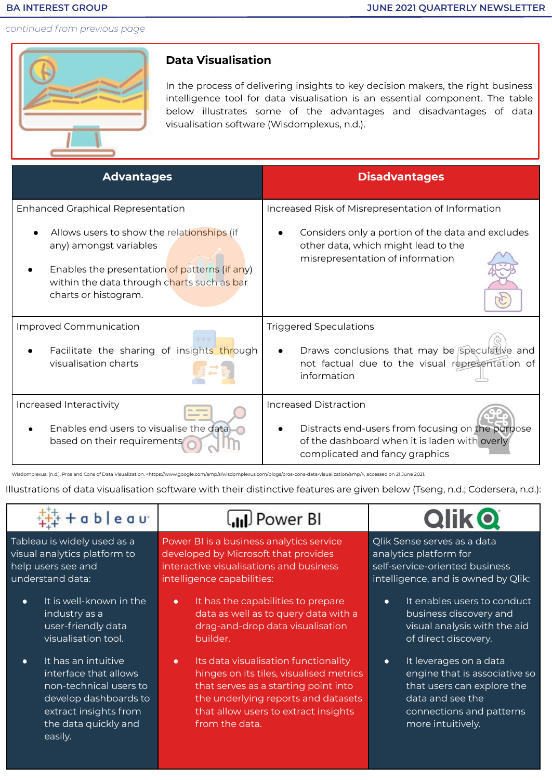#### **BA INTEREST GROUP**

*continued from previous page*



# **Data Visualisation**

In the process of delivering insights to key decision makers, the right business intelligence tool for data visualisation is an essential component. The table below illustrates some of the advantages and disadvantages of data visualisation software (Wisdomplexus, n.d.).

| <b>Advantages</b>                                                                                                                                                                           | <b>Disadvantages</b>                                                                                                                                         |
|---------------------------------------------------------------------------------------------------------------------------------------------------------------------------------------------|--------------------------------------------------------------------------------------------------------------------------------------------------------------|
| <b>Enhanced Graphical Representation</b>                                                                                                                                                    | Increased Risk of Misrepresentation of Information                                                                                                           |
| Allows users to show the relationships (if<br>any) amongst variables<br>Enables the presentation of patterns (if any)<br>within the data through charts such as bar<br>charts or histogram. | Considers only a portion of the data and excludes<br>other data, which might lead to the<br>misrepresentation of information                                 |
| Improved Communication                                                                                                                                                                      | <b>Triggered Speculations</b>                                                                                                                                |
| Facilitate the sharing of insights through<br>visualisation charts                                                                                                                          | Draws conclusions that may be speculative and<br>not factual due to the visual representation of<br>information                                              |
| Increased Interactivity<br>Enables end users to visualise the data<br>based on their requirements                                                                                           | Increased Distraction<br>Distracts end-users from focusing on the purpose<br>of the dashboard when it is laden with overly<br>complicated and fancy graphics |

Wisdomplexus. (n.d.). Pros and Cons of Data Visualization. <https://www.google.com/amp/s/wisdomplexus.com/blogs/pros-cons-data-visualization/amp/>, accessed on 21 June 2021.

Illustrations of data visualisation software with their distinctive features are given below (Tseng, n.d.; Codersera, n.d.):

| a b l e a u                                                                                                                                                              | <b>ul</b> Power BI                                                                                                                                                                                                                    |                                                                                                                                                                         |
|--------------------------------------------------------------------------------------------------------------------------------------------------------------------------|---------------------------------------------------------------------------------------------------------------------------------------------------------------------------------------------------------------------------------------|-------------------------------------------------------------------------------------------------------------------------------------------------------------------------|
| Tableau is widely used as a                                                                                                                                              | Power BI is a business analytics service                                                                                                                                                                                              | Qlik Sense serves as a data                                                                                                                                             |
| visual analytics platform to                                                                                                                                             | developed by Microsoft that provides                                                                                                                                                                                                  | analytics platform for                                                                                                                                                  |
| help users see and                                                                                                                                                       | interactive visualisations and business                                                                                                                                                                                               | self-service-oriented business                                                                                                                                          |
| understand data:                                                                                                                                                         | intelligence capabilities:                                                                                                                                                                                                            | intelligence, and is owned by Qlik:                                                                                                                                     |
| It is well-known in the                                                                                                                                                  | It has the capabilities to prepare                                                                                                                                                                                                    | It enables users to conduct                                                                                                                                             |
| $\bullet$                                                                                                                                                                | $\bullet$                                                                                                                                                                                                                             | $\bullet$                                                                                                                                                               |
| industry as a                                                                                                                                                            | data as well as to query data with a                                                                                                                                                                                                  | business discovery and                                                                                                                                                  |
| user-friendly data                                                                                                                                                       | drag-and-drop data visualisation                                                                                                                                                                                                      | visual analysis with the aid                                                                                                                                            |
| visualisation tool.                                                                                                                                                      | builder.                                                                                                                                                                                                                              | of direct discovery.                                                                                                                                                    |
| It has an intuitive<br>$\bullet$<br>interface that allows<br>non-technical users to<br>develop dashboards to<br>extract insights from<br>the data quickly and<br>easily. | Its data visualisation functionality<br>$\bullet$<br>hinges on its tiles, visualised metrics<br>that serves as a starting point into<br>the underlying reports and datasets<br>that allow users to extract insights<br>from the data. | It leverages on a data<br>$\bullet$<br>engine that is associative so<br>that users can explore the<br>data and see the<br>connections and patterns<br>more intuitively. |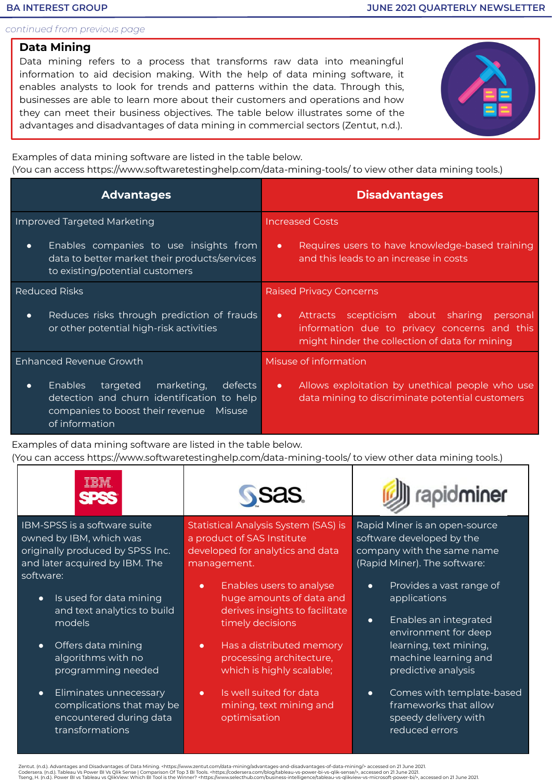#### **BA INTEREST GROUP**

*continued from previous page*

# **Data Mining**

Data mining refers to a process that transforms raw data into meaningful information to aid decision making. With the help of data mining software, it enables analysts to look for trends and patterns within the data. Through this, businesses are able to learn more about their customers and operations and how they can meet their business objectives. The table below illustrates some of the advantages and disadvantages of data mining in commercial sectors (Zentut, n.d.).



Examples of data mining software are listed in the table below.

(You can access https://www.softwaretestinghelp.com/data-mining-tools/ to view other data mining tools.)

| <b>Advantages</b>                                                                                                                                                           | <b>Disadvantages</b>                                                                                                                                      |
|-----------------------------------------------------------------------------------------------------------------------------------------------------------------------------|-----------------------------------------------------------------------------------------------------------------------------------------------------------|
| <b>Improved Targeted Marketing</b>                                                                                                                                          | <b>Increased Costs</b>                                                                                                                                    |
| Enables companies to use insights from<br>$\bullet$<br>data to better market their products/services<br>to existing/potential customers                                     | Requires users to have knowledge-based training<br>$\bullet$<br>and this leads to an increase in costs                                                    |
| <b>Reduced Risks</b>                                                                                                                                                        | <b>Raised Privacy Concerns</b>                                                                                                                            |
| Reduces risks through prediction of frauds<br>$\bullet$<br>or other potential high-risk activities                                                                          | Attracts scepticism about sharing personal<br>$\bullet$<br>information due to privacy concerns and this<br>might hinder the collection of data for mining |
| Enhanced Revenue Growth                                                                                                                                                     | Misuse of information                                                                                                                                     |
| <b>Enables</b><br>marketing,<br>targeted<br>defects<br>$\bullet$<br>detection and churn identification to help<br>companies to boost their revenue Misuse<br>of information | Allows exploitation by unethical people who use<br>$\bullet$<br>data mining to discriminate potential customers                                           |

Examples of data mining software are listed in the table below. (You can access https://www.softwaretestinghelp.com/data-mining-tools/ to view other data mining tools.)

| ----<br>__<br>IBM.<br>UU®<br>$\mathcal{L}$<br><b>TM</b> | <b>iner</b> |
|---------------------------------------------------------|-------------|
|---------------------------------------------------------|-------------|

IBM-SPSS is a software suite owned by IBM, which was originally produced by SPSS Inc. and later acquired by IBM. The software:

- Is used for data mining and text analytics to build models
- Offers data mining algorithms with no programming needed
- Eliminates unnecessary complications that may be encountered during data transformations

Statistical Analysis System (SAS) is a product of SAS Institute developed for analytics and data management.

- Enables users to analyse huge amounts of data and derives insights to facilitate timely decisions
- Has a distributed memory processing architecture, which is highly scalable;
- Is well suited for data mining, text mining and optimisation

Rapid Miner is an open-source software developed by the company with the same name (Rapid Miner). The software:

- Provides a vast range of applications
- Enables an integrated environment for deep learning, text mining, machine learning and predictive analysis
- Comes with template-based frameworks that allow speedy delivery with reduced errors

Zentut. (n.d.). Advantages and Disadvantages of Data Mining. <https://www.zentut.com/data-mining/advantages-and-disadvantages-of-data-mining/> accessed on 21 June 2021.<br>Codersera. (n.d.). Tableau Vs Power BI Vs Qilk Sense